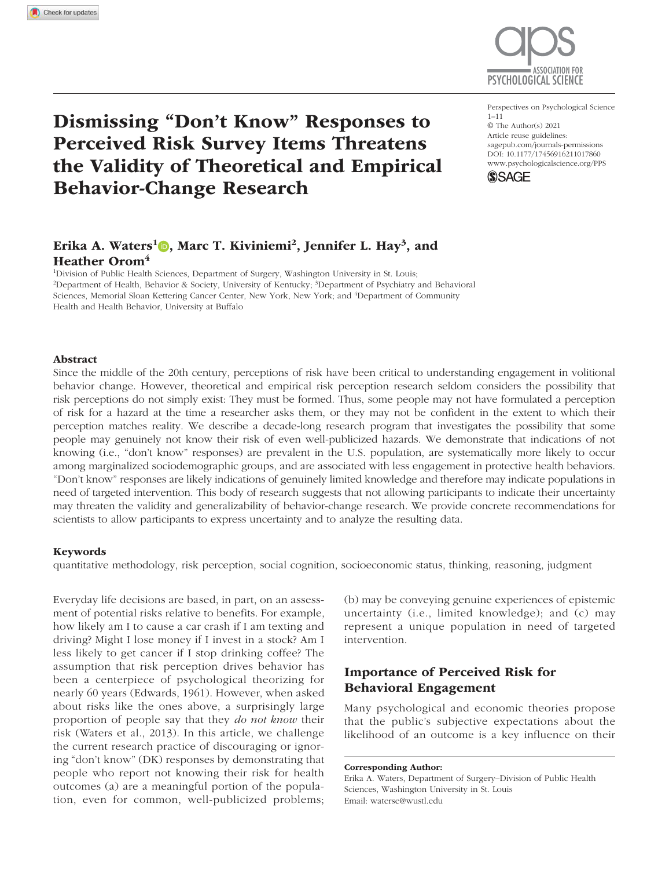

# Erika A. Waters<sup>1</sup>D, Marc T. Kiviniemi<sup>2</sup>, Jennifer L. Hay<sup>3</sup>, and Heather Orom<sup>4</sup>

<sup>1</sup>Division of Public Health Sciences, Department of Surgery, Washington University in St. Louis; <sup>2</sup>Department of Health, Behavior & Society, University of Kentucky; <sup>3</sup>Department of Psychiatry and Behavioral Sciences, Memorial Sloan Kettering Cancer Center, New York, New York; and <sup>4</sup>Department of Community Health and Health Behavior, University at Buffalo

#### Abstract

Since the middle of the 20th century, perceptions of risk have been critical to understanding engagement in volitional behavior change. However, theoretical and empirical risk perception research seldom considers the possibility that risk perceptions do not simply exist: They must be formed. Thus, some people may not have formulated a perception of risk for a hazard at the time a researcher asks them, or they may not be confident in the extent to which their perception matches reality. We describe a decade-long research program that investigates the possibility that some people may genuinely not know their risk of even well-publicized hazards. We demonstrate that indications of not knowing (i.e., "don't know" responses) are prevalent in the U.S. population, are systematically more likely to occur among marginalized sociodemographic groups, and are associated with less engagement in protective health behaviors. "Don't know" responses are likely indications of genuinely limited knowledge and therefore may indicate populations in need of targeted intervention. This body of research suggests that not allowing participants to indicate their uncertainty may threaten the validity and generalizability of behavior-change research. We provide concrete recommendations for scientists to allow participants to express uncertainty and to analyze the resulting data.

#### Keywords

quantitative methodology, risk perception, social cognition, socioeconomic status, thinking, reasoning, judgment

Everyday life decisions are based, in part, on an assessment of potential risks relative to benefits. For example, how likely am I to cause a car crash if I am texting and driving? Might I lose money if I invest in a stock? Am I less likely to get cancer if I stop drinking coffee? The assumption that risk perception drives behavior has been a centerpiece of psychological theorizing for nearly 60 years (Edwards, 1961). However, when asked about risks like the ones above, a surprisingly large proportion of people say that they *do not know* their risk (Waters et al., 2013). In this article, we challenge the current research practice of discouraging or ignoring "don't know" (DK) responses by demonstrating that people who report not knowing their risk for health outcomes (a) are a meaningful portion of the population, even for common, well-publicized problems; (b) may be conveying genuine experiences of epistemic uncertainty (i.e., limited knowledge); and (c) may represent a unique population in need of targeted intervention.

## Importance of Perceived Risk for Behavioral Engagement

Many psychological and economic theories propose that the public's subjective expectations about the likelihood of an outcome is a key influence on their

Erika A. Waters, Department of Surgery–Division of Public Health Sciences, Washington University in St. Louis Email: waterse@wustl.edu

https://doi.org/10.1177/17456916211017860 DOI: 10.1177/17456916211017860 Perspectives on Psychological Science  $1 - 11$ © The Author(s) 2021 Article reuse guidelines: sagepub.com/journals-permissions www.psychologicalscience.org/PPS





Corresponding Author: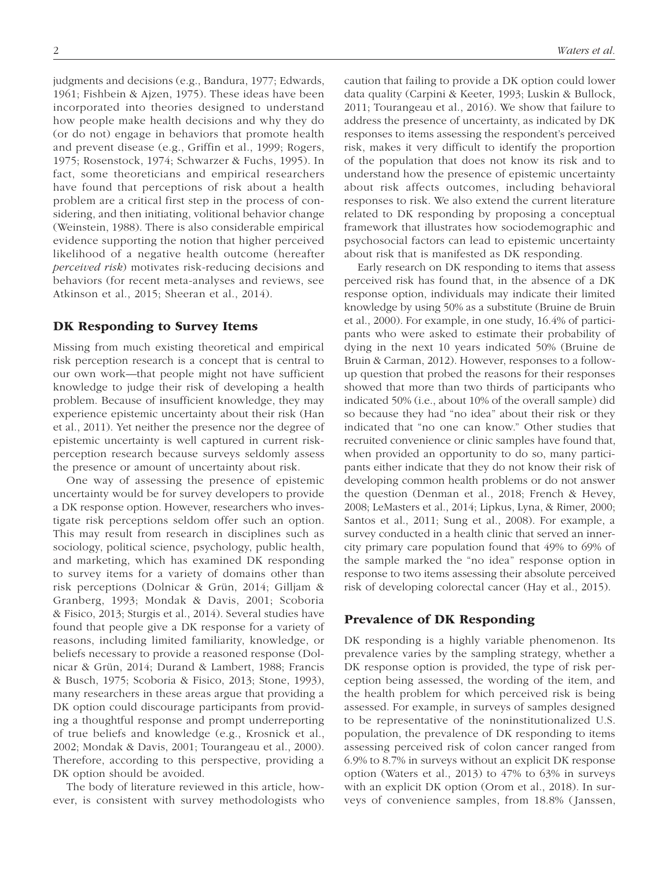judgments and decisions (e.g., Bandura, 1977; Edwards, 1961; Fishbein & Ajzen, 1975). These ideas have been incorporated into theories designed to understand how people make health decisions and why they do (or do not) engage in behaviors that promote health and prevent disease (e.g., Griffin et al., 1999; Rogers, 1975; Rosenstock, 1974; Schwarzer & Fuchs, 1995). In fact, some theoreticians and empirical researchers have found that perceptions of risk about a health problem are a critical first step in the process of considering, and then initiating, volitional behavior change (Weinstein, 1988). There is also considerable empirical evidence supporting the notion that higher perceived likelihood of a negative health outcome (hereafter *perceived risk*) motivates risk-reducing decisions and behaviors (for recent meta-analyses and reviews, see Atkinson et al., 2015; Sheeran et al., 2014).

### DK Responding to Survey Items

Missing from much existing theoretical and empirical risk perception research is a concept that is central to our own work—that people might not have sufficient knowledge to judge their risk of developing a health problem. Because of insufficient knowledge, they may experience epistemic uncertainty about their risk (Han et al., 2011). Yet neither the presence nor the degree of epistemic uncertainty is well captured in current riskperception research because surveys seldomly assess the presence or amount of uncertainty about risk.

One way of assessing the presence of epistemic uncertainty would be for survey developers to provide a DK response option. However, researchers who investigate risk perceptions seldom offer such an option. This may result from research in disciplines such as sociology, political science, psychology, public health, and marketing, which has examined DK responding to survey items for a variety of domains other than risk perceptions (Dolnicar & Grün, 2014; Gilljam & Granberg, 1993; Mondak & Davis, 2001; Scoboria & Fisico, 2013; Sturgis et al., 2014). Several studies have found that people give a DK response for a variety of reasons, including limited familiarity, knowledge, or beliefs necessary to provide a reasoned response (Dolnicar & Grün, 2014; Durand & Lambert, 1988; Francis & Busch, 1975; Scoboria & Fisico, 2013; Stone, 1993), many researchers in these areas argue that providing a DK option could discourage participants from providing a thoughtful response and prompt underreporting of true beliefs and knowledge (e.g., Krosnick et al., 2002; Mondak & Davis, 2001; Tourangeau et al., 2000). Therefore, according to this perspective, providing a DK option should be avoided.

The body of literature reviewed in this article, however, is consistent with survey methodologists who caution that failing to provide a DK option could lower data quality (Carpini & Keeter, 1993; Luskin & Bullock, 2011; Tourangeau et al., 2016). We show that failure to address the presence of uncertainty, as indicated by DK responses to items assessing the respondent's perceived risk, makes it very difficult to identify the proportion of the population that does not know its risk and to understand how the presence of epistemic uncertainty about risk affects outcomes, including behavioral responses to risk. We also extend the current literature related to DK responding by proposing a conceptual framework that illustrates how sociodemographic and psychosocial factors can lead to epistemic uncertainty about risk that is manifested as DK responding.

Early research on DK responding to items that assess perceived risk has found that, in the absence of a DK response option, individuals may indicate their limited knowledge by using 50% as a substitute (Bruine de Bruin et al., 2000). For example, in one study, 16.4% of participants who were asked to estimate their probability of dying in the next 10 years indicated 50% (Bruine de Bruin & Carman, 2012). However, responses to a followup question that probed the reasons for their responses showed that more than two thirds of participants who indicated 50% (i.e., about 10% of the overall sample) did so because they had "no idea" about their risk or they indicated that "no one can know." Other studies that recruited convenience or clinic samples have found that, when provided an opportunity to do so, many participants either indicate that they do not know their risk of developing common health problems or do not answer the question (Denman et al., 2018; French & Hevey, 2008; LeMasters et al., 2014; Lipkus, Lyna, & Rimer, 2000; Santos et al., 2011; Sung et al., 2008). For example, a survey conducted in a health clinic that served an innercity primary care population found that 49% to 69% of the sample marked the "no idea" response option in response to two items assessing their absolute perceived risk of developing colorectal cancer (Hay et al., 2015).

#### Prevalence of DK Responding

DK responding is a highly variable phenomenon. Its prevalence varies by the sampling strategy, whether a DK response option is provided, the type of risk perception being assessed, the wording of the item, and the health problem for which perceived risk is being assessed. For example, in surveys of samples designed to be representative of the noninstitutionalized U.S. population, the prevalence of DK responding to items assessing perceived risk of colon cancer ranged from 6.9% to 8.7% in surveys without an explicit DK response option (Waters et al., 2013) to 47% to 63% in surveys with an explicit DK option (Orom et al., 2018). In surveys of convenience samples, from 18.8% (Janssen,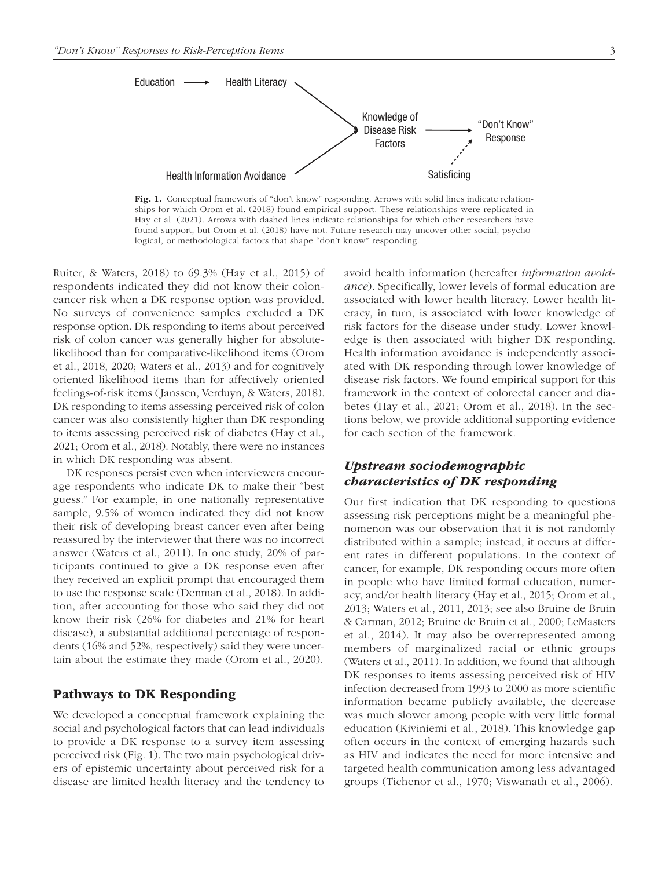

Fig. 1. Conceptual framework of "don't know" responding. Arrows with solid lines indicate relationships for which Orom et al. (2018) found empirical support. These relationships were replicated in Hay et al. (2021). Arrows with dashed lines indicate relationships for which other researchers have found support, but Orom et al. (2018) have not. Future research may uncover other social, psychological, or methodological factors that shape "don't know" responding.

Ruiter, & Waters, 2018) to 69.3% (Hay et al., 2015) of respondents indicated they did not know their coloncancer risk when a DK response option was provided. No surveys of convenience samples excluded a DK response option. DK responding to items about perceived risk of colon cancer was generally higher for absolutelikelihood than for comparative-likelihood items (Orom et al., 2018, 2020; Waters et al., 2013) and for cognitively oriented likelihood items than for affectively oriented feelings-of-risk items (Janssen, Verduyn, & Waters, 2018). DK responding to items assessing perceived risk of colon cancer was also consistently higher than DK responding to items assessing perceived risk of diabetes (Hay et al., 2021; Orom et al., 2018). Notably, there were no instances in which DK responding was absent.

DK responses persist even when interviewers encourage respondents who indicate DK to make their "best guess." For example, in one nationally representative sample, 9.5% of women indicated they did not know their risk of developing breast cancer even after being reassured by the interviewer that there was no incorrect answer (Waters et al., 2011). In one study, 20% of participants continued to give a DK response even after they received an explicit prompt that encouraged them to use the response scale (Denman et al., 2018). In addition, after accounting for those who said they did not know their risk (26% for diabetes and 21% for heart disease), a substantial additional percentage of respondents (16% and 52%, respectively) said they were uncertain about the estimate they made (Orom et al., 2020).

### Pathways to DK Responding

We developed a conceptual framework explaining the social and psychological factors that can lead individuals to provide a DK response to a survey item assessing perceived risk (Fig. 1). The two main psychological drivers of epistemic uncertainty about perceived risk for a disease are limited health literacy and the tendency to avoid health information (hereafter *information avoidance*). Specifically, lower levels of formal education are associated with lower health literacy. Lower health literacy, in turn, is associated with lower knowledge of risk factors for the disease under study. Lower knowledge is then associated with higher DK responding. Health information avoidance is independently associated with DK responding through lower knowledge of disease risk factors. We found empirical support for this framework in the context of colorectal cancer and diabetes (Hay et al., 2021; Orom et al., 2018). In the sections below, we provide additional supporting evidence for each section of the framework.

## Upstream sociodemographic characteristics of DK responding

Our first indication that DK responding to questions assessing risk perceptions might be a meaningful phenomenon was our observation that it is not randomly distributed within a sample; instead, it occurs at different rates in different populations. In the context of cancer, for example, DK responding occurs more often in people who have limited formal education, numeracy, and/or health literacy (Hay et al., 2015; Orom et al., 2013; Waters et al., 2011, 2013; see also Bruine de Bruin & Carman, 2012; Bruine de Bruin et al., 2000; LeMasters et al., 2014). It may also be overrepresented among members of marginalized racial or ethnic groups (Waters et al., 2011). In addition, we found that although DK responses to items assessing perceived risk of HIV infection decreased from 1993 to 2000 as more scientific information became publicly available, the decrease was much slower among people with very little formal education (Kiviniemi et al., 2018). This knowledge gap often occurs in the context of emerging hazards such as HIV and indicates the need for more intensive and targeted health communication among less advantaged groups (Tichenor et al., 1970; Viswanath et al., 2006).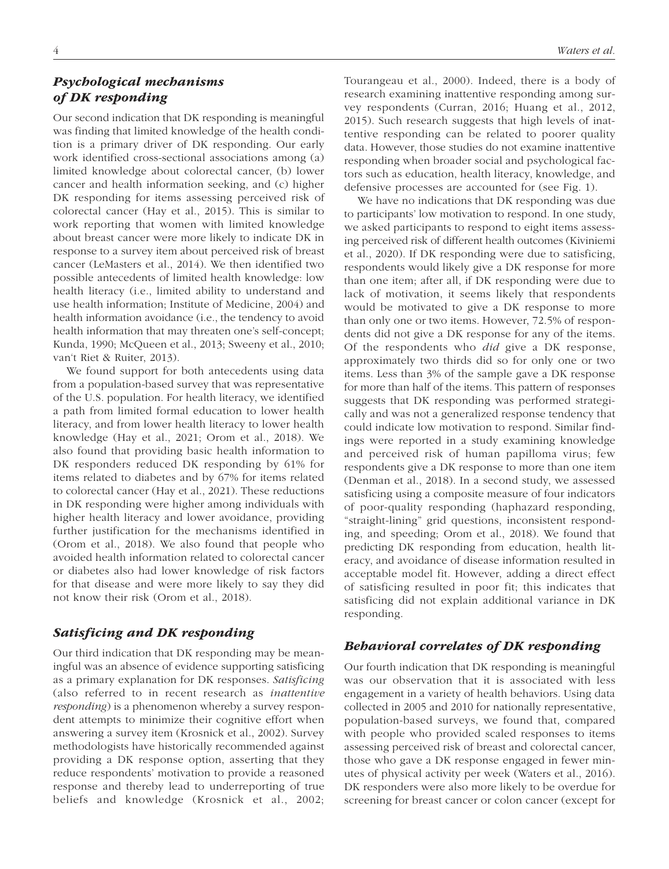## Psychological mechanisms of DK responding

Our second indication that DK responding is meaningful was finding that limited knowledge of the health condition is a primary driver of DK responding. Our early work identified cross-sectional associations among (a) limited knowledge about colorectal cancer, (b) lower cancer and health information seeking, and (c) higher DK responding for items assessing perceived risk of colorectal cancer (Hay et al., 2015). This is similar to work reporting that women with limited knowledge about breast cancer were more likely to indicate DK in response to a survey item about perceived risk of breast cancer (LeMasters et al., 2014). We then identified two possible antecedents of limited health knowledge: low health literacy (i.e., limited ability to understand and use health information; Institute of Medicine, 2004) and health information avoidance (i.e., the tendency to avoid health information that may threaten one's self-concept; Kunda, 1990; McQueen et al., 2013; Sweeny et al., 2010; van't Riet & Ruiter, 2013).

We found support for both antecedents using data from a population-based survey that was representative of the U.S. population. For health literacy, we identified a path from limited formal education to lower health literacy, and from lower health literacy to lower health knowledge (Hay et al., 2021; Orom et al., 2018). We also found that providing basic health information to DK responders reduced DK responding by 61% for items related to diabetes and by 67% for items related to colorectal cancer (Hay et al., 2021). These reductions in DK responding were higher among individuals with higher health literacy and lower avoidance, providing further justification for the mechanisms identified in (Orom et al., 2018). We also found that people who avoided health information related to colorectal cancer or diabetes also had lower knowledge of risk factors for that disease and were more likely to say they did not know their risk (Orom et al., 2018).

## Satisficing and DK responding

Our third indication that DK responding may be meaningful was an absence of evidence supporting satisficing as a primary explanation for DK responses. *Satisficing* (also referred to in recent research as *inattentive responding*) is a phenomenon whereby a survey respondent attempts to minimize their cognitive effort when answering a survey item (Krosnick et al., 2002). Survey methodologists have historically recommended against providing a DK response option, asserting that they reduce respondents' motivation to provide a reasoned response and thereby lead to underreporting of true beliefs and knowledge (Krosnick et al., 2002; Tourangeau et al., 2000). Indeed, there is a body of research examining inattentive responding among survey respondents (Curran, 2016; Huang et al., 2012, 2015). Such research suggests that high levels of inattentive responding can be related to poorer quality data. However, those studies do not examine inattentive responding when broader social and psychological factors such as education, health literacy, knowledge, and defensive processes are accounted for (see Fig. 1).

We have no indications that DK responding was due to participants' low motivation to respond. In one study, we asked participants to respond to eight items assessing perceived risk of different health outcomes (Kiviniemi et al., 2020). If DK responding were due to satisficing, respondents would likely give a DK response for more than one item; after all, if DK responding were due to lack of motivation, it seems likely that respondents would be motivated to give a DK response to more than only one or two items. However, 72.5% of respondents did not give a DK response for any of the items. Of the respondents who *did* give a DK response, approximately two thirds did so for only one or two items. Less than 3% of the sample gave a DK response for more than half of the items. This pattern of responses suggests that DK responding was performed strategically and was not a generalized response tendency that could indicate low motivation to respond. Similar findings were reported in a study examining knowledge and perceived risk of human papilloma virus; few respondents give a DK response to more than one item (Denman et al., 2018). In a second study, we assessed satisficing using a composite measure of four indicators of poor-quality responding (haphazard responding, "straight-lining" grid questions, inconsistent responding, and speeding; Orom et al., 2018). We found that predicting DK responding from education, health literacy, and avoidance of disease information resulted in acceptable model fit. However, adding a direct effect of satisficing resulted in poor fit; this indicates that satisficing did not explain additional variance in DK responding.

### Behavioral correlates of DK responding

Our fourth indication that DK responding is meaningful was our observation that it is associated with less engagement in a variety of health behaviors. Using data collected in 2005 and 2010 for nationally representative, population-based surveys, we found that, compared with people who provided scaled responses to items assessing perceived risk of breast and colorectal cancer, those who gave a DK response engaged in fewer minutes of physical activity per week (Waters et al., 2016). DK responders were also more likely to be overdue for screening for breast cancer or colon cancer (except for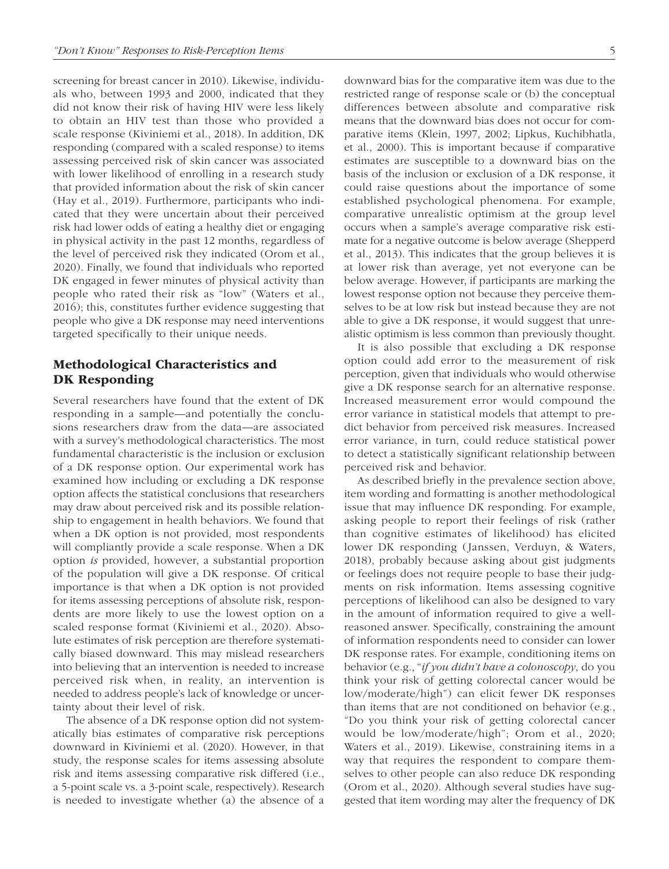screening for breast cancer in 2010). Likewise, individuals who, between 1993 and 2000, indicated that they did not know their risk of having HIV were less likely to obtain an HIV test than those who provided a scale response (Kiviniemi et al., 2018). In addition, DK responding (compared with a scaled response) to items assessing perceived risk of skin cancer was associated with lower likelihood of enrolling in a research study that provided information about the risk of skin cancer (Hay et al., 2019). Furthermore, participants who indicated that they were uncertain about their perceived risk had lower odds of eating a healthy diet or engaging in physical activity in the past 12 months, regardless of the level of perceived risk they indicated (Orom et al., 2020). Finally, we found that individuals who reported DK engaged in fewer minutes of physical activity than people who rated their risk as "low" (Waters et al., 2016); this, constitutes further evidence suggesting that people who give a DK response may need interventions targeted specifically to their unique needs.

### Methodological Characteristics and DK Responding

Several researchers have found that the extent of DK responding in a sample—and potentially the conclusions researchers draw from the data—are associated with a survey's methodological characteristics. The most fundamental characteristic is the inclusion or exclusion of a DK response option. Our experimental work has examined how including or excluding a DK response option affects the statistical conclusions that researchers may draw about perceived risk and its possible relationship to engagement in health behaviors. We found that when a DK option is not provided, most respondents will compliantly provide a scale response. When a DK option *is* provided, however, a substantial proportion of the population will give a DK response. Of critical importance is that when a DK option is not provided for items assessing perceptions of absolute risk, respondents are more likely to use the lowest option on a scaled response format (Kiviniemi et al., 2020). Absolute estimates of risk perception are therefore systematically biased downward. This may mislead researchers into believing that an intervention is needed to increase perceived risk when, in reality, an intervention is needed to address people's lack of knowledge or uncertainty about their level of risk.

The absence of a DK response option did not systematically bias estimates of comparative risk perceptions downward in Kiviniemi et al. (2020). However, in that study, the response scales for items assessing absolute risk and items assessing comparative risk differed (i.e., a 5-point scale vs. a 3-point scale, respectively). Research is needed to investigate whether (a) the absence of a downward bias for the comparative item was due to the restricted range of response scale or (b) the conceptual differences between absolute and comparative risk means that the downward bias does not occur for comparative items (Klein, 1997, 2002; Lipkus, Kuchibhatla, et al., 2000). This is important because if comparative estimates are susceptible to a downward bias on the basis of the inclusion or exclusion of a DK response, it could raise questions about the importance of some established psychological phenomena. For example, comparative unrealistic optimism at the group level occurs when a sample's average comparative risk estimate for a negative outcome is below average (Shepperd et al., 2013). This indicates that the group believes it is at lower risk than average, yet not everyone can be below average. However, if participants are marking the lowest response option not because they perceive themselves to be at low risk but instead because they are not able to give a DK response, it would suggest that unrealistic optimism is less common than previously thought.

It is also possible that excluding a DK response option could add error to the measurement of risk perception, given that individuals who would otherwise give a DK response search for an alternative response. Increased measurement error would compound the error variance in statistical models that attempt to predict behavior from perceived risk measures. Increased error variance, in turn, could reduce statistical power to detect a statistically significant relationship between perceived risk and behavior.

As described briefly in the prevalence section above, item wording and formatting is another methodological issue that may influence DK responding. For example, asking people to report their feelings of risk (rather than cognitive estimates of likelihood) has elicited lower DK responding (Janssen, Verduyn, & Waters, 2018), probably because asking about gist judgments or feelings does not require people to base their judgments on risk information. Items assessing cognitive perceptions of likelihood can also be designed to vary in the amount of information required to give a wellreasoned answer. Specifically, constraining the amount of information respondents need to consider can lower DK response rates. For example, conditioning items on behavior (e.g., "*if you didn't have a colonoscopy*, do you think your risk of getting colorectal cancer would be low/moderate/high") can elicit fewer DK responses than items that are not conditioned on behavior (e.g., "Do you think your risk of getting colorectal cancer would be low/moderate/high"; Orom et al., 2020; Waters et al., 2019). Likewise, constraining items in a way that requires the respondent to compare themselves to other people can also reduce DK responding (Orom et al., 2020). Although several studies have suggested that item wording may alter the frequency of DK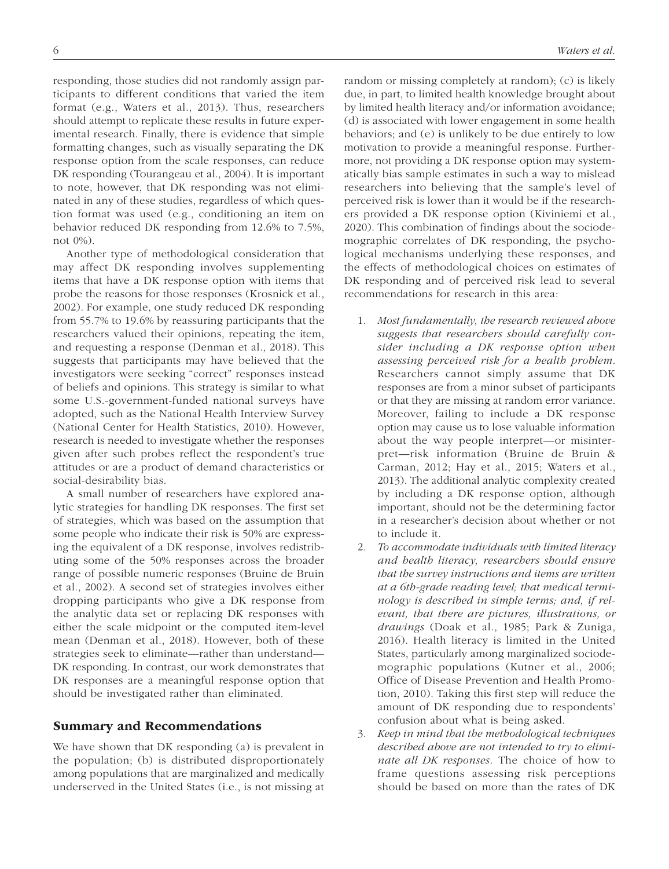responding, those studies did not randomly assign participants to different conditions that varied the item format (e.g., Waters et al., 2013). Thus, researchers should attempt to replicate these results in future experimental research. Finally, there is evidence that simple formatting changes, such as visually separating the DK response option from the scale responses, can reduce DK responding (Tourangeau et al., 2004). It is important to note, however, that DK responding was not eliminated in any of these studies, regardless of which question format was used (e.g., conditioning an item on behavior reduced DK responding from 12.6% to 7.5%, not 0%).

Another type of methodological consideration that may affect DK responding involves supplementing items that have a DK response option with items that probe the reasons for those responses (Krosnick et al., 2002). For example, one study reduced DK responding from 55.7% to 19.6% by reassuring participants that the researchers valued their opinions, repeating the item, and requesting a response (Denman et al., 2018). This suggests that participants may have believed that the investigators were seeking "correct" responses instead of beliefs and opinions. This strategy is similar to what some U.S.-government-funded national surveys have adopted, such as the National Health Interview Survey (National Center for Health Statistics, 2010). However, research is needed to investigate whether the responses given after such probes reflect the respondent's true attitudes or are a product of demand characteristics or social-desirability bias.

A small number of researchers have explored analytic strategies for handling DK responses. The first set of strategies, which was based on the assumption that some people who indicate their risk is 50% are expressing the equivalent of a DK response, involves redistributing some of the 50% responses across the broader range of possible numeric responses (Bruine de Bruin et al., 2002). A second set of strategies involves either dropping participants who give a DK response from the analytic data set or replacing DK responses with either the scale midpoint or the computed item-level mean (Denman et al., 2018). However, both of these strategies seek to eliminate—rather than understand— DK responding. In contrast, our work demonstrates that DK responses are a meaningful response option that should be investigated rather than eliminated.

#### Summary and Recommendations

We have shown that DK responding (a) is prevalent in the population; (b) is distributed disproportionately among populations that are marginalized and medically underserved in the United States (i.e., is not missing at random or missing completely at random); (c) is likely due, in part, to limited health knowledge brought about by limited health literacy and/or information avoidance; (d) is associated with lower engagement in some health behaviors; and (e) is unlikely to be due entirely to low motivation to provide a meaningful response. Furthermore, not providing a DK response option may systematically bias sample estimates in such a way to mislead researchers into believing that the sample's level of perceived risk is lower than it would be if the researchers provided a DK response option (Kiviniemi et al., 2020). This combination of findings about the sociodemographic correlates of DK responding, the psychological mechanisms underlying these responses, and the effects of methodological choices on estimates of DK responding and of perceived risk lead to several recommendations for research in this area:

- 1. *Most fundamentally, the research reviewed above suggests that researchers should carefully consider including a DK response option when assessing perceived risk for a health problem*. Researchers cannot simply assume that DK responses are from a minor subset of participants or that they are missing at random error variance. Moreover, failing to include a DK response option may cause us to lose valuable information about the way people interpret—or misinterpret—risk information (Bruine de Bruin & Carman, 2012; Hay et al., 2015; Waters et al., 2013). The additional analytic complexity created by including a DK response option, although important, should not be the determining factor in a researcher's decision about whether or not to include it.
- 2. *To accommodate individuals with limited literacy and health literacy, researchers should ensure that the survey instructions and items are written at a 6th-grade reading level; that medical terminology is described in simple terms; and, if relevant, that there are pictures, illustrations, or drawings* (Doak et al., 1985; Park & Zuniga, 2016). Health literacy is limited in the United States, particularly among marginalized sociodemographic populations (Kutner et al., 2006; Office of Disease Prevention and Health Promotion, 2010). Taking this first step will reduce the amount of DK responding due to respondents' confusion about what is being asked.
- 3. *Keep in mind that the methodological techniques described above are not intended to try to eliminate all DK responses.* The choice of how to frame questions assessing risk perceptions should be based on more than the rates of DK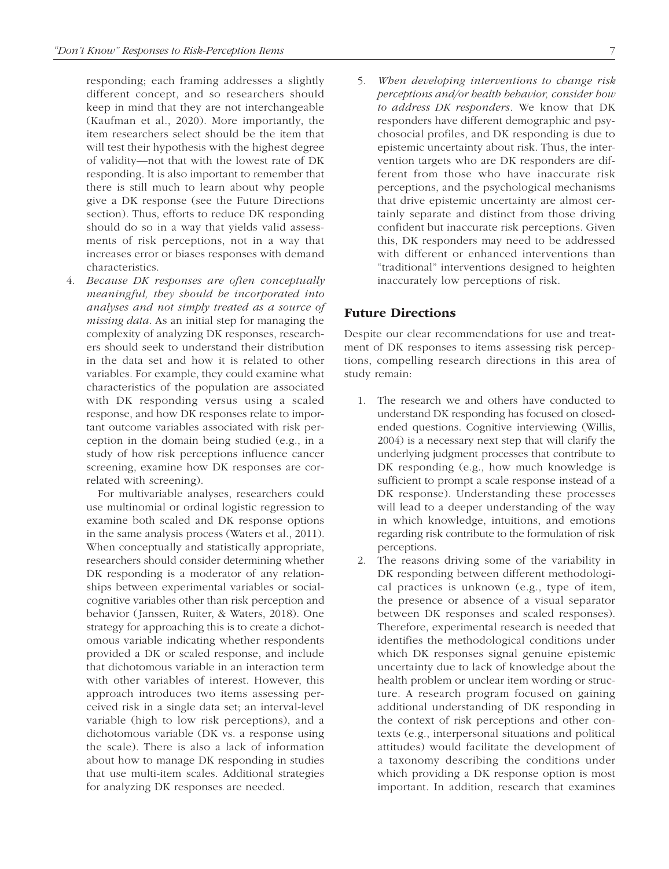responding; each framing addresses a slightly different concept, and so researchers should keep in mind that they are not interchangeable (Kaufman et al., 2020). More importantly, the item researchers select should be the item that will test their hypothesis with the highest degree of validity—not that with the lowest rate of DK responding. It is also important to remember that there is still much to learn about why people give a DK response (see the Future Directions section). Thus, efforts to reduce DK responding should do so in a way that yields valid assessments of risk perceptions, not in a way that increases error or biases responses with demand characteristics.

4. *Because DK responses are often conceptually meaningful, they should be incorporated into analyses and not simply treated as a source of missing data*. As an initial step for managing the complexity of analyzing DK responses, researchers should seek to understand their distribution in the data set and how it is related to other variables. For example, they could examine what characteristics of the population are associated with DK responding versus using a scaled response, and how DK responses relate to important outcome variables associated with risk perception in the domain being studied (e.g., in a study of how risk perceptions influence cancer screening, examine how DK responses are correlated with screening).

 For multivariable analyses, researchers could use multinomial or ordinal logistic regression to examine both scaled and DK response options in the same analysis process (Waters et al., 2011). When conceptually and statistically appropriate, researchers should consider determining whether DK responding is a moderator of any relationships between experimental variables or socialcognitive variables other than risk perception and behavior (Janssen, Ruiter, & Waters, 2018). One strategy for approaching this is to create a dichotomous variable indicating whether respondents provided a DK or scaled response, and include that dichotomous variable in an interaction term with other variables of interest. However, this approach introduces two items assessing perceived risk in a single data set; an interval-level variable (high to low risk perceptions), and a dichotomous variable (DK vs. a response using the scale). There is also a lack of information about how to manage DK responding in studies that use multi-item scales. Additional strategies for analyzing DK responses are needed.

5. *When developing interventions to change risk perceptions and/or health behavior, consider how to address DK responders.* We know that DK responders have different demographic and psychosocial profiles, and DK responding is due to epistemic uncertainty about risk. Thus, the intervention targets who are DK responders are different from those who have inaccurate risk perceptions, and the psychological mechanisms that drive epistemic uncertainty are almost certainly separate and distinct from those driving confident but inaccurate risk perceptions. Given this, DK responders may need to be addressed with different or enhanced interventions than "traditional" interventions designed to heighten inaccurately low perceptions of risk.

### Future Directions

Despite our clear recommendations for use and treatment of DK responses to items assessing risk perceptions, compelling research directions in this area of study remain:

- 1. The research we and others have conducted to understand DK responding has focused on closedended questions. Cognitive interviewing (Willis, 2004) is a necessary next step that will clarify the underlying judgment processes that contribute to DK responding (e.g., how much knowledge is sufficient to prompt a scale response instead of a DK response). Understanding these processes will lead to a deeper understanding of the way in which knowledge, intuitions, and emotions regarding risk contribute to the formulation of risk perceptions.
- 2. The reasons driving some of the variability in DK responding between different methodological practices is unknown (e.g., type of item, the presence or absence of a visual separator between DK responses and scaled responses). Therefore, experimental research is needed that identifies the methodological conditions under which DK responses signal genuine epistemic uncertainty due to lack of knowledge about the health problem or unclear item wording or structure. A research program focused on gaining additional understanding of DK responding in the context of risk perceptions and other contexts (e.g., interpersonal situations and political attitudes) would facilitate the development of a taxonomy describing the conditions under which providing a DK response option is most important. In addition, research that examines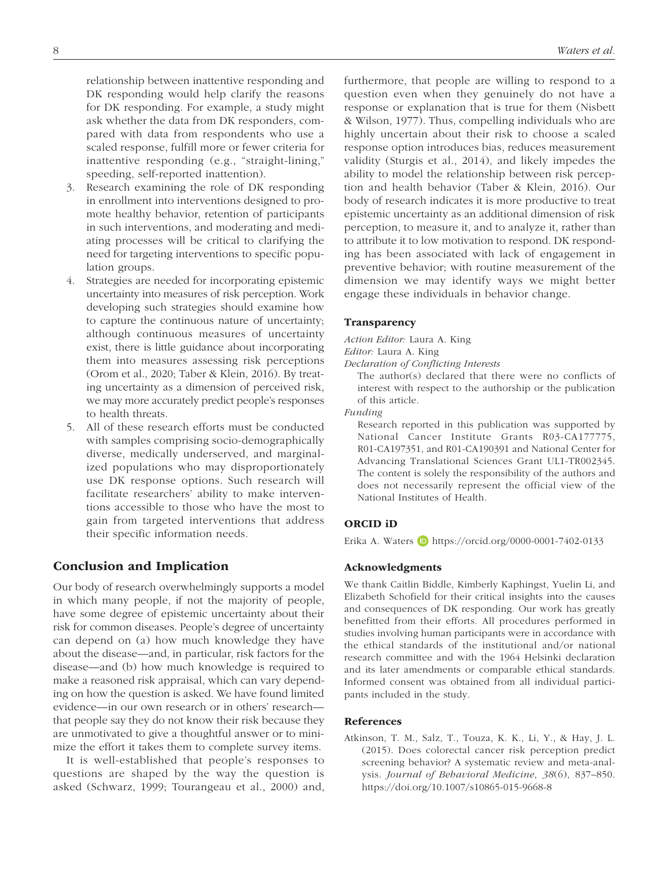relationship between inattentive responding and DK responding would help clarify the reasons for DK responding. For example, a study might ask whether the data from DK responders, compared with data from respondents who use a scaled response, fulfill more or fewer criteria for inattentive responding (e.g., "straight-lining," speeding, self-reported inattention).

- 3. Research examining the role of DK responding in enrollment into interventions designed to promote healthy behavior, retention of participants in such interventions, and moderating and mediating processes will be critical to clarifying the need for targeting interventions to specific population groups.
- 4. Strategies are needed for incorporating epistemic uncertainty into measures of risk perception. Work developing such strategies should examine how to capture the continuous nature of uncertainty; although continuous measures of uncertainty exist, there is little guidance about incorporating them into measures assessing risk perceptions (Orom et al., 2020; Taber & Klein, 2016). By treating uncertainty as a dimension of perceived risk, we may more accurately predict people's responses to health threats.
- 5. All of these research efforts must be conducted with samples comprising socio-demographically diverse, medically underserved, and marginalized populations who may disproportionately use DK response options. Such research will facilitate researchers' ability to make interventions accessible to those who have the most to gain from targeted interventions that address their specific information needs.

### Conclusion and Implication

Our body of research overwhelmingly supports a model in which many people, if not the majority of people, have some degree of epistemic uncertainty about their risk for common diseases. People's degree of uncertainty can depend on (a) how much knowledge they have about the disease—and, in particular, risk factors for the disease—and (b) how much knowledge is required to make a reasoned risk appraisal, which can vary depending on how the question is asked. We have found limited evidence—in our own research or in others' research that people say they do not know their risk because they are unmotivated to give a thoughtful answer or to minimize the effort it takes them to complete survey items.

It is well-established that people's responses to questions are shaped by the way the question is asked (Schwarz, 1999; Tourangeau et al., 2000) and, furthermore, that people are willing to respond to a question even when they genuinely do not have a response or explanation that is true for them (Nisbett & Wilson, 1977). Thus, compelling individuals who are highly uncertain about their risk to choose a scaled response option introduces bias, reduces measurement validity (Sturgis et al., 2014), and likely impedes the ability to model the relationship between risk perception and health behavior (Taber & Klein, 2016). Our body of research indicates it is more productive to treat epistemic uncertainty as an additional dimension of risk perception, to measure it, and to analyze it, rather than to attribute it to low motivation to respond. DK responding has been associated with lack of engagement in preventive behavior; with routine measurement of the dimension we may identify ways we might better engage these individuals in behavior change.

#### **Transparency**

*Action Editor:* Laura A. King

*Editor:* Laura A. King

*Declaration of Conflicting Interests*

The author(s) declared that there were no conflicts of interest with respect to the authorship or the publication of this article.

*Funding*

Research reported in this publication was supported by National Cancer Institute Grants R03-CA177775, R01-CA197351, and R01-CA190391 and National Center for Advancing Translational Sciences Grant UL1-TR002345. The content is solely the responsibility of the authors and does not necessarily represent the official view of the National Institutes of Health.

### ORCID iD

Erika A. Waters  $\Box$  https://orcid.org/0000-0001-7402-0133

### Acknowledgments

We thank Caitlin Biddle, Kimberly Kaphingst, Yuelin Li, and Elizabeth Schofield for their critical insights into the causes and consequences of DK responding. Our work has greatly benefitted from their efforts. All procedures performed in studies involving human participants were in accordance with the ethical standards of the institutional and/or national research committee and with the 1964 Helsinki declaration and its later amendments or comparable ethical standards. Informed consent was obtained from all individual participants included in the study.

#### References

Atkinson, T. M., Salz, T., Touza, K. K., Li, Y., & Hay, J. L. (2015). Does colorectal cancer risk perception predict screening behavior? A systematic review and meta-analysis. *Journal of Behavioral Medicine*, *38*(6), 837–850. https://doi.org/10.1007/s10865-015-9668-8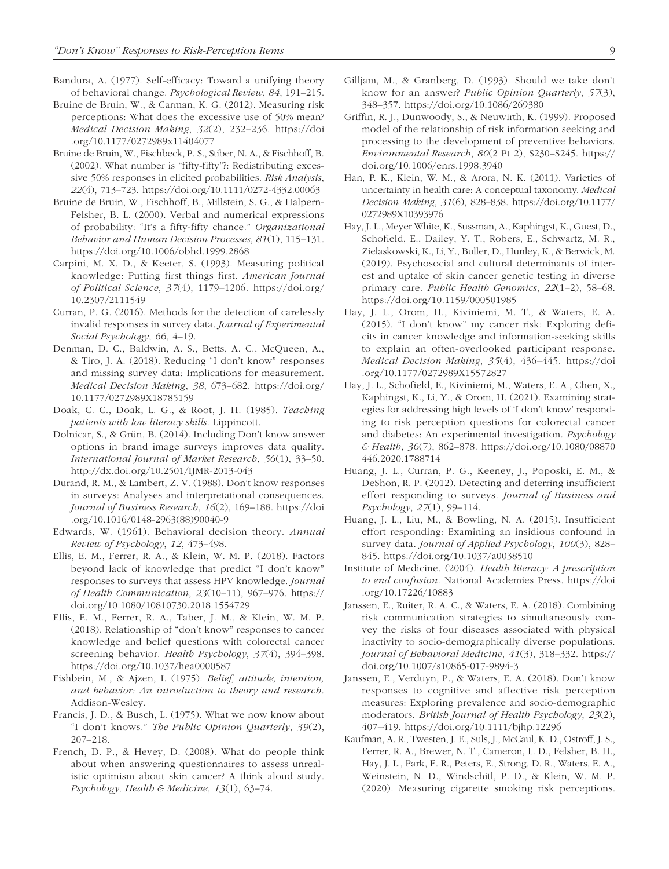- Bandura, A. (1977). Self-efficacy: Toward a unifying theory of behavioral change. *Psychological Review*, *84*, 191–215.
- Bruine de Bruin, W., & Carman, K. G. (2012). Measuring risk perceptions: What does the excessive use of 50% mean? *Medical Decision Making*, *32*(2), 232–236. https://doi .org/10.1177/0272989x11404077
- Bruine de Bruin, W., Fischbeck, P. S., Stiber, N. A., & Fischhoff, B. (2002). What number is "fifty-fifty"?: Redistributing excessive 50% responses in elicited probabilities. *Risk Analysis*, *22*(4), 713–723. https://doi.org/10.1111/0272-4332.00063
- Bruine de Bruin, W., Fischhoff, B., Millstein, S. G., & Halpern-Felsher, B. L. (2000). Verbal and numerical expressions of probability: "It's a fifty-fifty chance." *Organizational Behavior and Human Decision Processes*, *81*(1), 115–131. https://doi.org/10.1006/obhd.1999.2868
- Carpini, M. X. D., & Keeter, S. (1993). Measuring political knowledge: Putting first things first. *American Journal of Political Science*, *37*(4), 1179–1206. https://doi.org/ 10.2307/2111549
- Curran, P. G. (2016). Methods for the detection of carelessly invalid responses in survey data. *Journal of Experimental Social Psychology*, *66*, 4–19.
- Denman, D. C., Baldwin, A. S., Betts, A. C., McQueen, A., & Tiro, J. A. (2018). Reducing "I don't know" responses and missing survey data: Implications for measurement. *Medical Decision Making*, *38*, 673–682. https://doi.org/ 10.1177/0272989X18785159
- Doak, C. C., Doak, L. G., & Root, J. H. (1985). *Teaching patients with low literacy skills*. Lippincott.
- Dolnicar, S., & Grün, B. (2014). Including Don't know answer options in brand image surveys improves data quality. *International Journal of Market Research*, *56*(1), 33–50. http://dx.doi.org/10.2501/IJMR-2013-043
- Durand, R. M., & Lambert, Z. V. (1988). Don't know responses in surveys: Analyses and interpretational consequences. *Journal of Business Research*, *16*(2), 169–188. https://doi .org/10.1016/0148-2963(88)90040-9
- Edwards, W. (1961). Behavioral decision theory. *Annual Review of Psychology*, *12*, 473–498.
- Ellis, E. M., Ferrer, R. A., & Klein, W. M. P. (2018). Factors beyond lack of knowledge that predict "I don't know" responses to surveys that assess HPV knowledge. *Journal of Health Communication*, *23*(10–11), 967–976. https:// doi.org/10.1080/10810730.2018.1554729
- Ellis, E. M., Ferrer, R. A., Taber, J. M., & Klein, W. M. P. (2018). Relationship of "don't know" responses to cancer knowledge and belief questions with colorectal cancer screening behavior. *Health Psychology*, *37*(4), 394–398. https://doi.org/10.1037/hea0000587
- Fishbein, M., & Ajzen, I. (1975). *Belief, attitude, intention, and behavior: An introduction to theory and research*. Addison-Wesley.
- Francis, J. D., & Busch, L. (1975). What we now know about "I don't knows." *The Public Opinion Quarterly*, *39*(2), 207–218.
- French, D. P., & Hevey, D. (2008). What do people think about when answering questionnaires to assess unrealistic optimism about skin cancer? A think aloud study. *Psychology, Health & Medicine*, *13*(1), 63–74.
- Gilljam, M., & Granberg, D. (1993). Should we take don't know for an answer? *Public Opinion Quarterly*, *57*(3), 348–357. https://doi.org/10.1086/269380
- Griffin, R. J., Dunwoody, S., & Neuwirth, K. (1999). Proposed model of the relationship of risk information seeking and processing to the development of preventive behaviors. *Environmental Research*, *80*(2 Pt 2), S230–S245. https:// doi.org/10.1006/enrs.1998.3940
- Han, P. K., Klein, W. M., & Arora, N. K. (2011). Varieties of uncertainty in health care: A conceptual taxonomy. *Medical Decision Making*, *31*(6), 828–838. https://doi.org/10.1177/ 0272989X10393976
- Hay, J. L., Meyer White, K., Sussman, A., Kaphingst, K., Guest, D., Schofield, E., Dailey, Y. T., Robers, E., Schwartz, M. R., Zielaskowski, K., Li, Y., Buller, D., Hunley, K., & Berwick, M. (2019). Psychosocial and cultural determinants of interest and uptake of skin cancer genetic testing in diverse primary care. *Public Health Genomics*, *22*(1–2), 58–68. https://doi.org/10.1159/000501985
- Hay, J. L., Orom, H., Kiviniemi, M. T., & Waters, E. A. (2015). "I don't know" my cancer risk: Exploring deficits in cancer knowledge and information-seeking skills to explain an often-overlooked participant response. *Medical Decision Making*, *35*(4), 436–445. https://doi .org/10.1177/0272989X15572827
- Hay, J. L., Schofield, E., Kiviniemi, M., Waters, E. A., Chen, X., Kaphingst, K., Li, Y., & Orom, H. (2021). Examining strategies for addressing high levels of 'I don't know' responding to risk perception questions for colorectal cancer and diabetes: An experimental investigation. *Psychology & Health*, *36*(7), 862–878. https://doi.org/10.1080/08870 446.2020.1788714
- Huang, J. L., Curran, P. G., Keeney, J., Poposki, E. M., & DeShon, R. P. (2012). Detecting and deterring insufficient effort responding to surveys. *Journal of Business and Psychology*, *27*(1), 99–114.
- Huang, J. L., Liu, M., & Bowling, N. A. (2015). Insufficient effort responding: Examining an insidious confound in survey data. *Journal of Applied Psychology*, *100*(3), 828– 845. https://doi.org/10.1037/a0038510
- Institute of Medicine. (2004). *Health literacy: A prescription to end confusion*. National Academies Press. https://doi .org/10.17226/10883
- Janssen, E., Ruiter, R. A. C., & Waters, E. A. (2018). Combining risk communication strategies to simultaneously convey the risks of four diseases associated with physical inactivity to socio-demographically diverse populations. *Journal of Behavioral Medicine*, *41*(3), 318–332. https:// doi.org/10.1007/s10865-017-9894-3
- Janssen, E., Verduyn, P., & Waters, E. A. (2018). Don't know responses to cognitive and affective risk perception measures: Exploring prevalence and socio-demographic moderators. *British Journal of Health Psychology*, *23*(2), 407–419. https://doi.org/10.1111/bjhp.12296
- Kaufman, A. R., Twesten, J. E., Suls, J., McCaul, K. D., Ostroff, J. S., Ferrer, R. A., Brewer, N. T., Cameron, L. D., Felsher, B. H., Hay, J. L., Park, E. R., Peters, E., Strong, D. R., Waters, E. A., Weinstein, N. D., Windschitl, P. D., & Klein, W. M. P. (2020). Measuring cigarette smoking risk perceptions.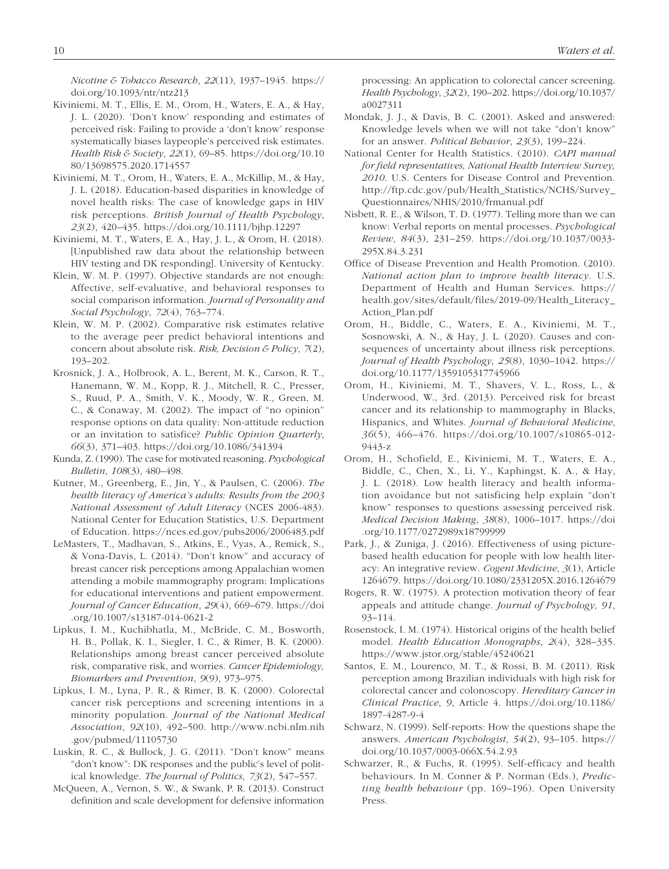*Nicotine & Tobacco Research*, *22*(11), 1937–1945. https:// doi.org/10.1093/ntr/ntz213

- Kiviniemi, M. T., Ellis, E. M., Orom, H., Waters, E. A., & Hay, J. L. (2020). 'Don't know' responding and estimates of perceived risk: Failing to provide a 'don't know' response systematically biases laypeople's perceived risk estimates. *Health Risk & Society*, *22*(1), 69–85. https://doi.org/10.10 80/13698575.2020.1714557
- Kiviniemi, M. T., Orom, H., Waters, E. A., McKillip, M., & Hay, J. L. (2018). Education-based disparities in knowledge of novel health risks: The case of knowledge gaps in HIV risk perceptions. *British Journal of Health Psychology*, *23*(2), 420–435. https://doi.org/10.1111/bjhp.12297
- Kiviniemi, M. T., Waters, E. A., Hay, J. L., & Orom, H. (2018). [Unpublished raw data about the relationship between HIV testing and DK responding]. University of Kentucky.
- Klein, W. M. P. (1997). Objective standards are not enough: Affective, self-evaluative, and behavioral responses to social comparison information. *Journal of Personality and Social Psychology*, *72*(4), 763–774.
- Klein, W. M. P. (2002). Comparative risk estimates relative to the average peer predict behavioral intentions and concern about absolute risk. *Risk, Decision & Policy*, *7*(2), 193–202.
- Krosnick, J. A., Holbrook, A. L., Berent, M. K., Carson, R. T., Hanemann, W. M., Kopp, R. J., Mitchell, R. C., Presser, S., Ruud, P. A., Smith, V. K., Moody, W. R., Green, M. C., & Conaway, M. (2002). The impact of "no opinion" response options on data quality: Non-attitude reduction or an invitation to satisfice? *Public Opinion Quarterly*, *66*(3), 371–403. https://doi.org/10.1086/341394
- Kunda, Z. (1990). The case for motivated reasoning. *Psychological Bulletin*, *108*(3), 480–498.
- Kutner, M., Greenberg, E., Jin, Y., & Paulsen, C. (2006). *The health literacy of America's adults: Results from the 2003 National Assessment of Adult Literacy* (NCES 2006-483). National Center for Education Statistics, U.S. Department of Education. https://nces.ed.gov/pubs2006/2006483.pdf
- LeMasters, T., Madhavan, S., Atkins, E., Vyas, A., Remick, S., & Vona-Davis, L. (2014). "Don't know" and accuracy of breast cancer risk perceptions among Appalachian women attending a mobile mammography program: Implications for educational interventions and patient empowerment. *Journal of Cancer Education*, *29*(4), 669–679. https://doi .org/10.1007/s13187-014-0621-2
- Lipkus, I. M., Kuchibhatla, M., McBride, C. M., Bosworth, H. B., Pollak, K. I., Siegler, I. C., & Rimer, B. K. (2000). Relationships among breast cancer perceived absolute risk, comparative risk, and worries. *Cancer Epidemiology, Biomarkers and Prevention*, *9*(9), 973–975.
- Lipkus, I. M., Lyna, P. R., & Rimer, B. K. (2000). Colorectal cancer risk perceptions and screening intentions in a minority population. *Journal of the National Medical Association*, *92*(10), 492–500. http://www.ncbi.nlm.nih .gov/pubmed/11105730
- Luskin, R. C., & Bullock, J. G. (2011). "Don't know" means "don't know": DK responses and the public's level of political knowledge. *The Journal of Politics*, *73*(2), 547–557.
- McQueen, A., Vernon, S. W., & Swank, P. R. (2013). Construct definition and scale development for defensive information

processing: An application to colorectal cancer screening. *Health Psychology*, *32*(2), 190–202. https://doi.org/10.1037/ a0027311

- Mondak, J. J., & Davis, B. C. (2001). Asked and answered: Knowledge levels when we will not take "don't know" for an answer. *Political Behavior*, *23*(3), 199–224.
- National Center for Health Statistics. (2010). *CAPI manual for field representatives, National Health Interview Survey, 2010*. U.S. Centers for Disease Control and Prevention. http://ftp.cdc.gov/pub/Health\_Statistics/NCHS/Survey\_ Questionnaires/NHIS/2010/frmanual.pdf
- Nisbett, R. E., & Wilson, T. D. (1977). Telling more than we can know: Verbal reports on mental processes. *Psychological Review*, *84*(3), 231–259. https://doi.org/10.1037/0033- 295X.84.3.231
- Office of Disease Prevention and Health Promotion. (2010). *National action plan to improve health literacy*. U.S. Department of Health and Human Services. https:// health.gov/sites/default/files/2019-09/Health\_Literacy\_ Action\_Plan.pdf
- Orom, H., Biddle, C., Waters, E. A., Kiviniemi, M. T., Sosnowski, A. N., & Hay, J. L. (2020). Causes and consequences of uncertainty about illness risk perceptions. *Journal of Health Psychology*, *25*(8), 1030–1042. https:// doi.org/10.1177/1359105317745966
- Orom, H., Kiviniemi, M. T., Shavers, V. L., Ross, L., & Underwood, W., 3rd. (2013). Perceived risk for breast cancer and its relationship to mammography in Blacks, Hispanics, and Whites. *Journal of Behavioral Medicine*, *36*(5), 466–476. https://doi.org/10.1007/s10865-012- 9443-z
- Orom, H., Schofield, E., Kiviniemi, M. T., Waters, E. A., Biddle, C., Chen, X., Li, Y., Kaphingst, K. A., & Hay, J. L. (2018). Low health literacy and health information avoidance but not satisficing help explain "don't know" responses to questions assessing perceived risk. *Medical Decision Making*, *38*(8), 1006–1017. https://doi .org/10.1177/0272989x18799999
- Park, J., & Zuniga, J. (2016). Effectiveness of using picturebased health education for people with low health literacy: An integrative review. *Cogent Medicine*, *3*(1), Article 1264679. https://doi.org/10.1080/2331205X.2016.1264679
- Rogers, R. W. (1975). A protection motivation theory of fear appeals and attitude change. *Journal of Psychology*, *91*, 93–114.
- Rosenstock, I. M. (1974). Historical origins of the health belief model. *Health Education Monographs*, *2*(4), 328–335. https://www.jstor.org/stable/45240621
- Santos, E. M., Lourenco, M. T., & Rossi, B. M. (2011). Risk perception among Brazilian individuals with high risk for colorectal cancer and colonoscopy. *Hereditary Cancer in Clinical Practice*, *9*, Article 4. https://doi.org/10.1186/ 1897-4287-9-4
- Schwarz, N. (1999). Self-reports: How the questions shape the answers. *American Psychologist*, *54*(2), 93–105. https:// doi.org/10.1037/0003-066X.54.2.93
- Schwarzer, R., & Fuchs, R. (1995). Self-efficacy and health behaviours. In M. Conner & P. Norman (Eds.), *Predicting health behaviour* (pp. 169–196). Open University Press.